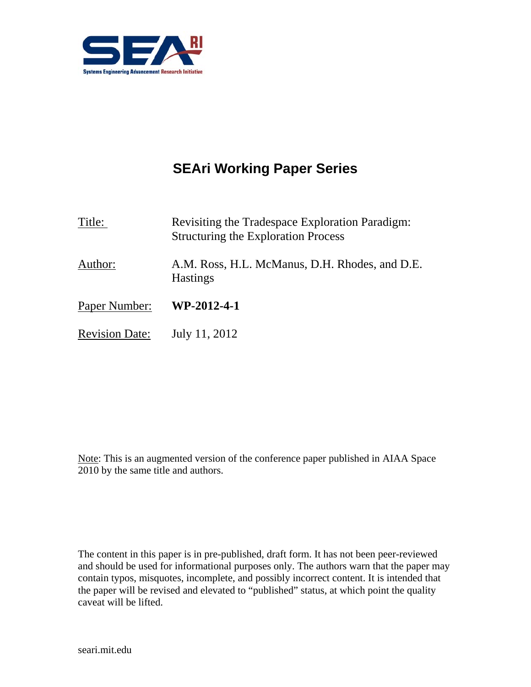

# **SEAri Working Paper Series**

| Title:                | Revisiting the Tradespace Exploration Paradigm:<br><b>Structuring the Exploration Process</b> |  |
|-----------------------|-----------------------------------------------------------------------------------------------|--|
| Author:               | A.M. Ross, H.L. McManus, D.H. Rhodes, and D.E.<br><b>Hastings</b>                             |  |
| Paper Number:         | WP-2012-4-1                                                                                   |  |
| <b>Revision Date:</b> | July 11, 2012                                                                                 |  |

Note: This is an augmented version of the conference paper published in AIAA Space 2010 by the same title and authors.

The content in this paper is in pre-published, draft form. It has not been peer-reviewed and should be used for informational purposes only. The authors warn that the paper may contain typos, misquotes, incomplete, and possibly incorrect content. It is intended that the paper will be revised and elevated to "published" status, at which point the quality caveat will be lifted.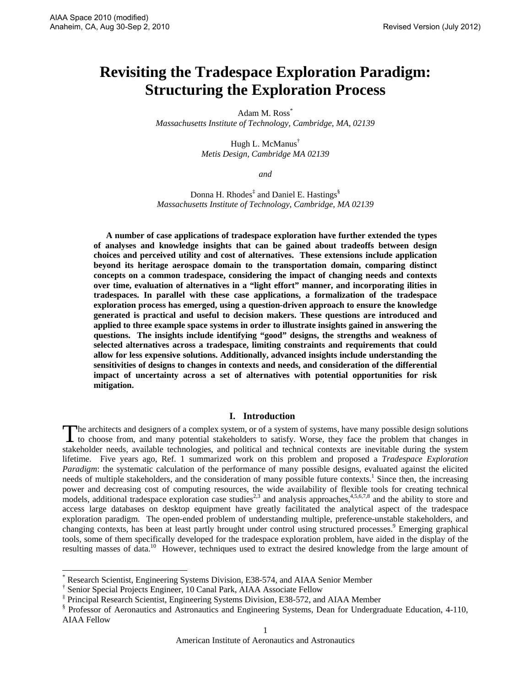# **Revisiting the Tradespace Exploration Paradigm: Structuring the Exploration Process**

Adam M. Ross<sup>\*</sup> *Massachusetts Institute of Technology, Cambridge, MA, 02139* 

> Hugh L. McManus† *Metis Design, Cambridge MA 02139*

> > *and*

Donna H. Rhodes $^{\ddagger}$  and Daniel E. Hastings $^{\S}$ *Massachusetts Institute of Technology, Cambridge, MA 02139* 

**A number of case applications of tradespace exploration have further extended the types of analyses and knowledge insights that can be gained about tradeoffs between design choices and perceived utility and cost of alternatives. These extensions include application beyond its heritage aerospace domain to the transportation domain, comparing distinct concepts on a common tradespace, considering the impact of changing needs and contexts over time, evaluation of alternatives in a "light effort" manner, and incorporating ilities in tradespaces. In parallel with these case applications, a formalization of the tradespace exploration process has emerged, using a question-driven approach to ensure the knowledge generated is practical and useful to decision makers. These questions are introduced and applied to three example space systems in order to illustrate insights gained in answering the questions. The insights include identifying "good" designs, the strengths and weakness of selected alternatives across a tradespace, limiting constraints and requirements that could allow for less expensive solutions. Additionally, advanced insights include understanding the sensitivities of designs to changes in contexts and needs, and consideration of the differential impact of uncertainty across a set of alternatives with potential opportunities for risk mitigation.** 

# **I. Introduction**

The architects and designers of a complex system, or of a system of systems, have many possible design solutions The architects and designers of a complex system, or of a system of systems, have many possible design solutions to choose from, and many potential stakeholders to satisfy. Worse, they face the problem that changes in stakeholder needs, available technologies, and political and technical contexts are inevitable during the system lifetime. Five years ago, Ref. 1 summarized work on this problem and proposed a *Tradespace Exploration Paradigm*: the systematic calculation of the performance of many possible designs, evaluated against the elicited needs of multiple stakeholders, and the consideration of many possible future contexts.<sup>1</sup> Since then, the increasing power and decreasing cost of computing resources, the wide availability of flexible tools for creating technical models, additional tradespace exploration case studies<sup>2,3</sup> and analysis approaches,<sup>4,5,6,7,8</sup> and the ability to store and access large databases on desktop equipment have greatly facilitated the analytical aspect of the tradespace exploration paradigm. The open-ended problem of understanding multiple, preference-unstable stakeholders, and changing contexts, has been at least partly brought under control using structured processes.<sup>9</sup> Emerging graphical tools, some of them specifically developed for the tradespace exploration problem, have aided in the display of the resulting masses of data.10 However, techniques used to extract the desired knowledge from the large amount of

 $\overline{a}$ 

<sup>\*</sup> Research Scientist, Engineering Systems Division, E38-574, and AIAA Senior Member

<sup>†</sup> Senior Special Projects Engineer, 10 Canal Park, AIAA Associate Fellow

<sup>‡</sup> Principal Research Scientist, Engineering Systems Division, E38-572, and AIAA Member

<sup>§</sup> Professor of Aeronautics and Astronautics and Engineering Systems, Dean for Undergraduate Education, 4-110, AIAA Fellow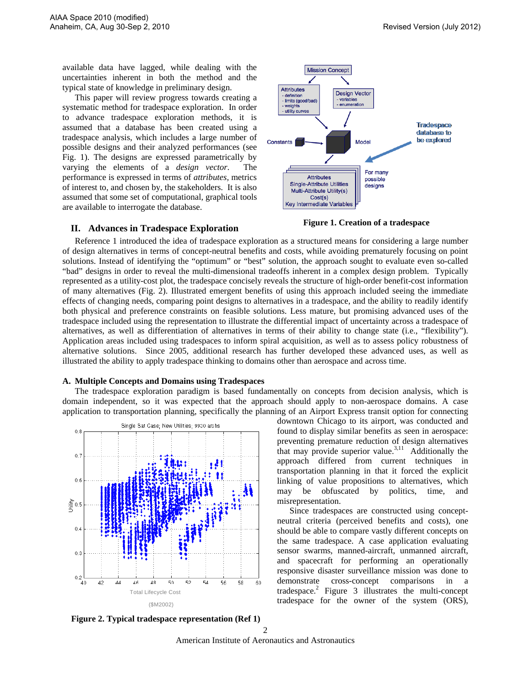Revised Version (July 2012)

available data have lagged, while dealing with the uncertainties inherent in both the method and the typical state of knowledge in preliminary design.

This paper will review progress towards creating a systematic method for tradespace exploration. In order to advance tradespace exploration methods, it is assumed that a database has been created using a tradespace analysis, which includes a large number of possible designs and their analyzed performances (see Fig. 1). The designs are expressed parametrically by varying the elements of a *design vector*. The performance is expressed in terms of *attributes,* metrics of interest to, and chosen by, the stakeholders. It is also assumed that some set of computational, graphical tools are available to interrogate the database.

# **II. Advances in Tradespace Exploration**





Reference 1 introduced the idea of tradespace exploration as a structured means for considering a large number of design alternatives in terms of concept-neutral benefits and costs, while avoiding prematurely focusing on point solutions. Instead of identifying the "optimum" or "best" solution, the approach sought to evaluate even so-called "bad" designs in order to reveal the multi-dimensional tradeoffs inherent in a complex design problem. Typically represented as a utility-cost plot, the tradespace concisely reveals the structure of high-order benefit-cost information of many alternatives (Fig. 2). Illustrated emergent benefits of using this approach included seeing the immediate effects of changing needs, comparing point designs to alternatives in a tradespace, and the ability to readily identify both physical and preference constraints on feasible solutions. Less mature, but promising advanced uses of the tradespace included using the representation to illustrate the differential impact of uncertainty across a tradespace of alternatives, as well as differentiation of alternatives in terms of their ability to change state (i.e., "flexibility"). Application areas included using tradespaces to inform spiral acquisition, as well as to assess policy robustness of alternative solutions. Since 2005, additional research has further developed these advanced uses, as well as illustrated the ability to apply tradespace thinking to domains other than aerospace and across time.

#### **A. Multiple Concepts and Domains using Tradespaces**

The tradespace exploration paradigm is based fundamentally on concepts from decision analysis, which is domain independent, so it was expected that the approach should apply to non-aerospace domains. A case application to transportation planning, specifically the planning of an Airport Express transit option for connecting



downtown Chicago to its airport, was conducted and found to display similar benefits as seen in aerospace: preventing premature reduction of design alternatives that may provide superior value.<sup>3,11</sup> Additionally the approach differed from current techniques in transportation planning in that it forced the explicit linking of value propositions to alternatives, which may be obfuscated by politics, time, and misrepresentation.

Since tradespaces are constructed using conceptneutral criteria (perceived benefits and costs), one should be able to compare vastly different concepts on the same tradespace. A case application evaluating sensor swarms, manned-aircraft, unmanned aircraft, and spacecraft for performing an operationally responsive disaster surveillance mission was done to demonstrate cross-concept comparisons in a tradespace.<sup>2</sup> Figure 3 illustrates the multi-concept tradespace for the owner of the system (ORS),

**Figure 2. Typical tradespace representation (Ref 1)** 

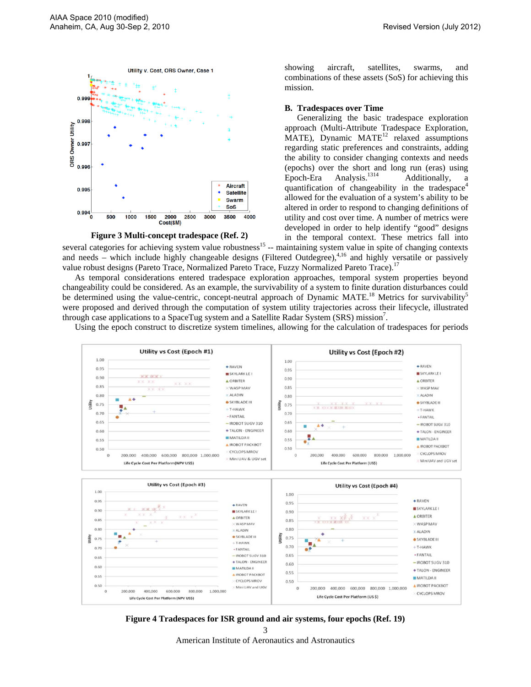

**Figure 3 Multi-concept tradespace (Ref. 2)** 

showing aircraft, satellites, swarms, and combinations of these assets (SoS) for achieving this mission.

# **B. Tradespaces over Time**

Generalizing the basic tradespace exploration approach (Multi-Attribute Tradespace Exploration, MATE), Dynamic MATE<sup>12</sup> relaxed assumptions regarding static preferences and constraints, adding the ability to consider changing contexts and needs (epochs) over the short and long run (eras) using Epoch-Era Analysis.<sup>1314</sup> Additionally, a quantification of changeability in the tradespace<sup>4</sup> allowed for the evaluation of a system's ability to be altered in order to respond to changing definitions of utility and cost over time. A number of metrics were developed in order to help identify "good" designs in the temporal context. These metrics fall into

several categories for achieving system value robustness<sup>15</sup> -- maintaining system value in spite of changing contexts and needs – which include highly changeable designs (Filtered Outdegree), $4,16$  and highly versatile or passively value robust designs (Pareto Trace, Normalized Pareto Trace, Fuzzy Normalized Pareto Trace).<sup>17</sup>

As temporal considerations entered tradespace exploration approaches, temporal system properties beyond changeability could be considered. As an example, the survivability of a system to finite duration disturbances could be determined using the value-centric, concept-neutral approach of Dynamic MATE.<sup>18</sup> Metrics for survivability<sup>5</sup> were proposed and derived through the computation of system utility trajectories across their lifecycle, illustrated through case applications to a SpaceTug system and a Satellite Radar System (SRS) mission<sup>7</sup>.

Using the epoch construct to discretize system timelines, allowing for the calculation of tradespaces for periods



**Figure 4 Tradespaces for ISR ground and air systems, four epochs (Ref. 19)** 

3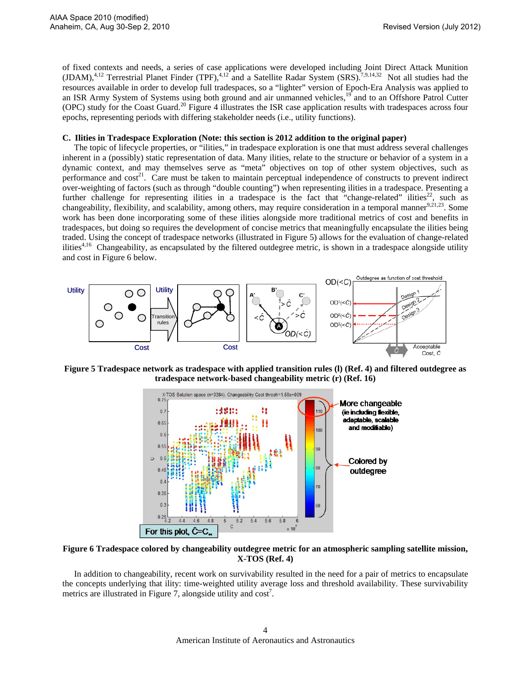of fixed contexts and needs, a series of case applications were developed including Joint Direct Attack Munition  $(JDAM)$ ,<sup>4,12</sup> Terrestrial Planet Finder (TPF),<sup>4,12</sup> and a Satellite Radar System (SRS).<sup>7,9,14,32</sup> Not all studies had the resources available in order to develop full tradespaces, so a "lighter" version of Epoch-Era Analysis was applied to an ISR Army System of Systems using both ground and air unmanned vehicles,<sup>19</sup> and to an Offshore Patrol Cutter (OPC) study for the Coast Guard.<sup>20</sup> Figure 4 illustrates the ISR case application results with tradespaces across four epochs, representing periods with differing stakeholder needs (i.e., utility functions).

# **C. Ilities in Tradespace Exploration (Note: this section is 2012 addition to the original paper)**

The topic of lifecycle properties, or "ilities," in tradespace exploration is one that must address several challenges inherent in a (possibly) static representation of data. Many ilities, relate to the structure or behavior of a system in a dynamic context, and may themselves serve as "meta" objectives on top of other system objectives, such as performance and  $cos<sup>21</sup>$ . Care must be taken to maintain perceptual independence of constructs to prevent indirect over-weighting of factors (such as through "double counting") when representing ilities in a tradespace. Presenting a further challenge for representing ilities in a tradespace is the fact that "change-related" ilities<sup>22</sup>, such as changeability, flexibility, and scalability, among others, may require consideration in a temporal manner<sup>9,21,23</sup>. Some work has been done incorporating some of these ilities alongside more traditional metrics of cost and benefits in tradespaces, but doing so requires the development of concise metrics that meaningfully encapsulate the ilities being traded. Using the concept of tradespace networks (illustrated in Figure 5) allows for the evaluation of change-related ilities<sup>4,16</sup> Changeability, as encapsulated by the filtered outdegree metric, is shown in a tradespace alongside utility and cost in Figure 6 below.



**Figure 5 Tradespace network as tradespace with applied transition rules (l) (Ref. 4) and filtered outdegree as tradespace network-based changeability metric (r) (Ref. 16)** 



**Figure 6 Tradespace colored by changeability outdegree metric for an atmospheric sampling satellite mission, X-TOS (Ref. 4)** 

In addition to changeability, recent work on survivability resulted in the need for a pair of metrics to encapsulate the concepts underlying that ility: time-weighted utility average loss and threshold availability. These survivability metrics are illustrated in Figure  $7$ , alongside utility and cost<sup>7</sup>.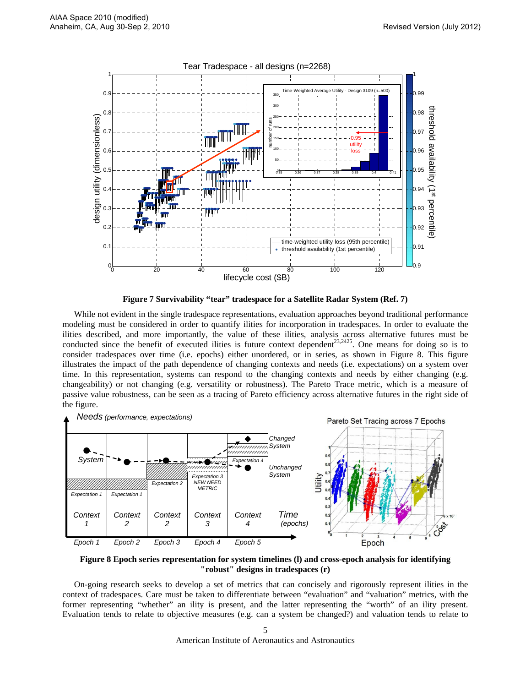

**Figure 7 Survivability "tear" tradespace for a Satellite Radar System (Ref. 7)** 

While not evident in the single tradespace representations, evaluation approaches beyond traditional performance modeling must be considered in order to quantify ilities for incorporation in tradespaces. In order to evaluate the ilities described, and more importantly, the value of these ilities, analysis across alternative futures must be conducted since the benefit of executed ilities is future context dependent<sup>23,2425</sup>. One means for doing so is to consider tradespaces over time (i.e. epochs) either unordered, or in series, as shown in Figure 8. This figure illustrates the impact of the path dependence of changing contexts and needs (i.e. expectations) on a system over time. In this representation, systems can respond to the changing contexts and needs by either changing (e.g. changeability) or not changing (e.g. versatility or robustness). The Pareto Trace metric, which is a measure of passive value robustness, can be seen as a tracing of Pareto efficiency across alternative futures in the right side of the figure.



**Figure 8 Epoch series representation for system timelines (l) and cross-epoch analysis for identifying "robust" designs in tradespaces (r)** 

On-going research seeks to develop a set of metrics that can concisely and rigorously represent ilities in the context of tradespaces. Care must be taken to differentiate between "evaluation" and "valuation" metrics, with the former representing "whether" an ility is present, and the latter representing the "worth" of an ility present. Evaluation tends to relate to objective measures (e.g. can a system be changed?) and valuation tends to relate to

5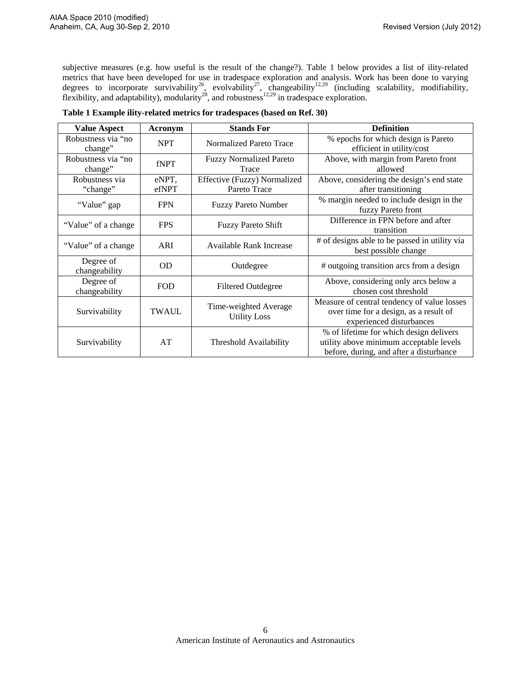subjective measures (e.g. how useful is the result of the change?). Table 1 below provides a list of ility-related metrics that have been developed for use in tradespace exploration and analysis. Work has been done to varying degrees to incorporate survivability<sup>26</sup>, evolvability<sup>27</sup>, changeability<sup>12,29</sup> (including scalability, modifiability, flexibility, and adaptability), modularity<sup>28</sup>, and robustness<sup>12,29</sup> in tradespace exploration.

| <b>Value Aspect</b>           | Acronym        | <b>Stands For</b>                                                                                                | <b>Definition</b>                                                                                                             |  |
|-------------------------------|----------------|------------------------------------------------------------------------------------------------------------------|-------------------------------------------------------------------------------------------------------------------------------|--|
| Robustness via "no<br>change" | <b>NPT</b>     | Normalized Pareto Trace                                                                                          | % epochs for which design is Pareto<br>efficient in utility/cost                                                              |  |
| Robustness via "no<br>change" | fNPT           | <b>Fuzzy Normalized Pareto</b><br>Trace                                                                          | Above, with margin from Pareto front<br>allowed                                                                               |  |
| Robustness via<br>"change"    | eNPT,<br>efNPT | Above, considering the design's end state<br>Effective (Fuzzy) Normalized<br>Pareto Trace<br>after transitioning |                                                                                                                               |  |
| "Value" gap                   | <b>FPN</b>     | <b>Fuzzy Pareto Number</b>                                                                                       | % margin needed to include design in the<br>fuzzy Pareto front                                                                |  |
| "Value" of a change           | <b>FPS</b>     | <b>Fuzzy Pareto Shift</b>                                                                                        | Difference in FPN before and after<br>transition                                                                              |  |
| "Value" of a change           | ARI            | Available Rank Increase                                                                                          | # of designs able to be passed in utility via<br>best possible change                                                         |  |
| Degree of<br>changeability    | <b>OD</b>      | Outdegree                                                                                                        | # outgoing transition arcs from a design                                                                                      |  |
| Degree of<br>changeability    | <b>FOD</b>     | <b>Filtered Outdegree</b>                                                                                        | Above, considering only arcs below a<br>chosen cost threshold                                                                 |  |
| Survivability                 | <b>TWAUL</b>   | Time-weighted Average<br><b>Utility Loss</b>                                                                     | Measure of central tendency of value losses<br>over time for a design, as a result of<br>experienced disturbances             |  |
| Survivability                 | AT             | Threshold Availability                                                                                           | % of lifetime for which design delivers<br>utility above minimum acceptable levels<br>before, during, and after a disturbance |  |

**Table 1 Example ility-related metrics for tradespaces (based on Ref. 30)**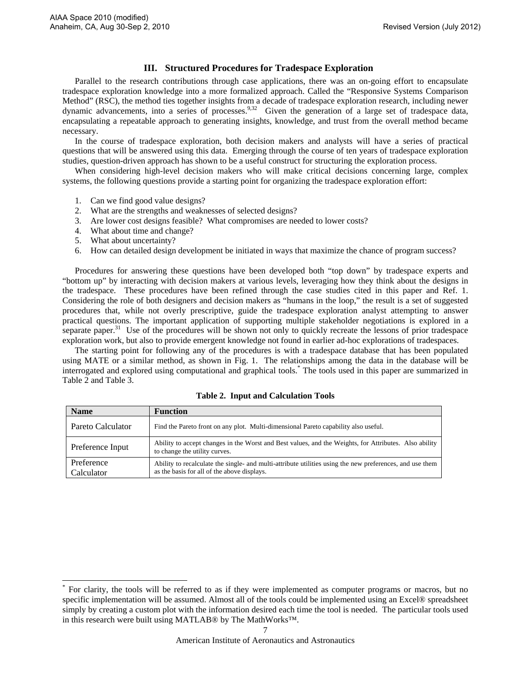## **III. Structured Procedures for Tradespace Exploration**

Parallel to the research contributions through case applications, there was an on-going effort to encapsulate tradespace exploration knowledge into a more formalized approach. Called the "Responsive Systems Comparison Method" (RSC), the method ties together insights from a decade of tradespace exploration research, including newer dynamic advancements, into a series of processes.<sup>9,32</sup> Given the generation of a large set of tradespace data, encapsulating a repeatable approach to generating insights, knowledge, and trust from the overall method became necessary.

In the course of tradespace exploration, both decision makers and analysts will have a series of practical questions that will be answered using this data. Emerging through the course of ten years of tradespace exploration studies, question-driven approach has shown to be a useful construct for structuring the exploration process.

When considering high-level decision makers who will make critical decisions concerning large, complex systems, the following questions provide a starting point for organizing the tradespace exploration effort:

- 1. Can we find good value designs?
- 2. What are the strengths and weaknesses of selected designs?
- 3. Are lower cost designs feasible? What compromises are needed to lower costs?
- 4. What about time and change?
- 5. What about uncertainty?

 $\overline{a}$ 

6. How can detailed design development be initiated in ways that maximize the chance of program success?

Procedures for answering these questions have been developed both "top down" by tradespace experts and "bottom up" by interacting with decision makers at various levels, leveraging how they think about the designs in the tradespace. These procedures have been refined through the case studies cited in this paper and Ref. 1. Considering the role of both designers and decision makers as "humans in the loop," the result is a set of suggested procedures that, while not overly prescriptive, guide the tradespace exploration analyst attempting to answer practical questions. The important application of supporting multiple stakeholder negotiations is explored in a separate paper.<sup>31</sup> Use of the procedures will be shown not only to quickly recreate the lessons of prior tradespace exploration work, but also to provide emergent knowledge not found in earlier ad-hoc explorations of tradespaces.

The starting point for following any of the procedures is with a tradespace database that has been populated using MATE or a similar method, as shown in Fig. 1. The relationships among the data in the database will be interrogated and explored using computational and graphical tools.\* The tools used in this paper are summarized in Table 2 and Table 3.

| <b>Name</b>              | <b>Function</b>                                                                                                                                         |
|--------------------------|---------------------------------------------------------------------------------------------------------------------------------------------------------|
| Pareto Calculator        | Find the Pareto front on any plot. Multi-dimensional Pareto capability also useful.                                                                     |
| Preference Input         | Ability to accept changes in the Worst and Best values, and the Weights, for Attributes. Also ability<br>to change the utility curves.                  |
| Preference<br>Calculator | Ability to recalculate the single- and multi-attribute utilities using the new preferences, and use them<br>as the basis for all of the above displays. |

| <b>Table 2. Input and Calculation Tools</b> |  |  |  |
|---------------------------------------------|--|--|--|
|---------------------------------------------|--|--|--|

<sup>\*</sup> For clarity, the tools will be referred to as if they were implemented as computer programs or macros, but no specific implementation will be assumed. Almost all of the tools could be implemented using an Excel® spreadsheet simply by creating a custom plot with the information desired each time the tool is needed. The particular tools used in this research were built using MATLAB® by The MathWorks™.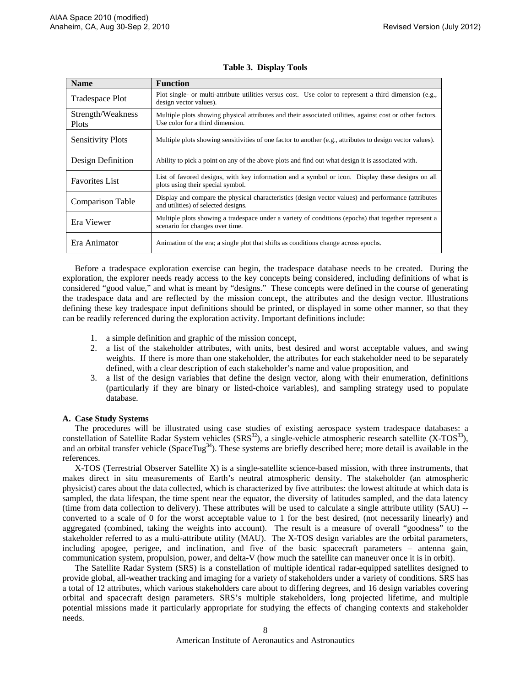| <b>Name</b>                       | <b>Function</b>                                                                                                                               |
|-----------------------------------|-----------------------------------------------------------------------------------------------------------------------------------------------|
| Tradespace Plot                   | Plot single- or multi-attribute utilities versus cost. Use color to represent a third dimension (e.g.,<br>design vector values).              |
| Strength/Weakness<br><b>Plots</b> | Multiple plots showing physical attributes and their associated utilities, against cost or other factors.<br>Use color for a third dimension. |
| <b>Sensitivity Plots</b>          | Multiple plots showing sensitivities of one factor to another (e.g., attributes to design vector values).                                     |
| Design Definition                 | Ability to pick a point on any of the above plots and find out what design it is associated with.                                             |
| <b>Favorites List</b>             | List of favored designs, with key information and a symbol or icon. Display these designs on all<br>plots using their special symbol.         |
| <b>Comparison Table</b>           | Display and compare the physical characteristics (design vector values) and performance (attributes<br>and utilities) of selected designs.    |
| Era Viewer                        | Multiple plots showing a tradespace under a variety of conditions (epochs) that together represent a<br>scenario for changes over time.       |
| Era Animator                      | Animation of the era; a single plot that shifts as conditions change across epochs.                                                           |

#### **Table 3. Display Tools**

Before a tradespace exploration exercise can begin, the tradespace database needs to be created. During the exploration, the explorer needs ready access to the key concepts being considered, including definitions of what is considered "good value," and what is meant by "designs." These concepts were defined in the course of generating the tradespace data and are reflected by the mission concept, the attributes and the design vector. Illustrations defining these key tradespace input definitions should be printed, or displayed in some other manner, so that they can be readily referenced during the exploration activity. Important definitions include:

- 1. a simple definition and graphic of the mission concept,
- 2. a list of the stakeholder attributes, with units, best desired and worst acceptable values, and swing weights. If there is more than one stakeholder, the attributes for each stakeholder need to be separately defined, with a clear description of each stakeholder's name and value proposition, and
- 3. a list of the design variables that define the design vector, along with their enumeration, definitions (particularly if they are binary or listed-choice variables), and sampling strategy used to populate database.

## **A. Case Study Systems**

The procedures will be illustrated using case studies of existing aerospace system tradespace databases: a constellation of Satellite Radar System vehicles  $(SRS<sup>32</sup>)$ , a single-vehicle atmospheric research satellite  $(X-TOS<sup>33</sup>)$ , and an orbital transfer vehicle ( $SpaceTug<sup>34</sup>$ ). These systems are briefly described here; more detail is available in the references.

X-TOS (Terrestrial Observer Satellite X) is a single-satellite science-based mission, with three instruments, that makes direct in situ measurements of Earth's neutral atmospheric density. The stakeholder (an atmospheric physicist) cares about the data collected, which is characterized by five attributes: the lowest altitude at which data is sampled, the data lifespan, the time spent near the equator, the diversity of latitudes sampled, and the data latency (time from data collection to delivery). These attributes will be used to calculate a single attribute utility (SAU) - converted to a scale of 0 for the worst acceptable value to 1 for the best desired, (not necessarily linearly) and aggregated (combined, taking the weights into account). The result is a measure of overall "goodness" to the stakeholder referred to as a multi-attribute utility (MAU). The X-TOS design variables are the orbital parameters, including apogee, perigee, and inclination, and five of the basic spacecraft parameters – antenna gain, communication system, propulsion, power, and delta-V (how much the satellite can maneuver once it is in orbit).

The Satellite Radar System (SRS) is a constellation of multiple identical radar-equipped satellites designed to provide global, all-weather tracking and imaging for a variety of stakeholders under a variety of conditions. SRS has a total of 12 attributes, which various stakeholders care about to differing degrees, and 16 design variables covering orbital and spacecraft design parameters. SRS's multiple stakeholders, long projected lifetime, and multiple potential missions made it particularly appropriate for studying the effects of changing contexts and stakeholder needs.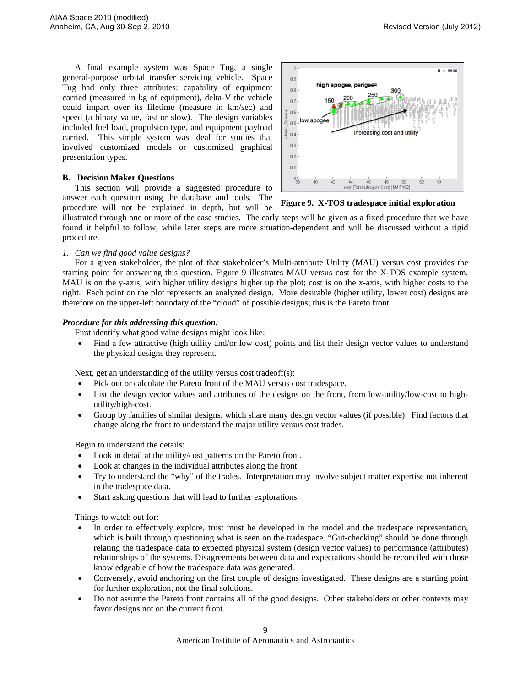included fuel load, propulsion type, and equipment payload carried. This simple system was ideal for studies that involved customized models or customized graphical presentation types.

#### **B. Decision Maker Questions**

This section will provide a suggested procedure to answer each question using the database and tools. The procedure will not be explained in depth, but will be



**Figure 9. X-TOS tradespace initial exploration** 

illustrated through one or more of the case studies. The early steps will be given as a fixed procedure that we have found it helpful to follow, while later steps are more situation-dependent and will be discussed without a rigid procedure.

## *1. Can we find good value designs?*

For a given stakeholder, the plot of that stakeholder's Multi-attribute Utility (MAU) versus cost provides the starting point for answering this question. Figure 9 illustrates MAU versus cost for the X-TOS example system. MAU is on the y-axis, with higher utility designs higher up the plot; cost is on the x-axis, with higher costs to the right. Each point on the plot represents an analyzed design. More desirable (higher utility, lower cost) designs are therefore on the upper-left boundary of the "cloud" of possible designs; this is the Pareto front.

# *Procedure for this addressing this question:*

First identify what good value designs might look like:

• Find a few attractive (high utility and/or low cost) points and list their design vector values to understand the physical designs they represent.

Next, get an understanding of the utility versus cost tradeoff(s):

- Pick out or calculate the Pareto front of the MAU versus cost tradespace.
- List the design vector values and attributes of the designs on the front, from low-utility/low-cost to highutility/high-cost.
- Group by families of similar designs, which share many design vector values (if possible). Find factors that change along the front to understand the major utility versus cost trades.

Begin to understand the details:

- Look in detail at the utility/cost patterns on the Pareto front.
- Look at changes in the individual attributes along the front.
- Try to understand the "why" of the trades. Interpretation may involve subject matter expertise not inherent in the tradespace data.
- Start asking questions that will lead to further explorations.

Things to watch out for:

- In order to effectively explore, trust must be developed in the model and the tradespace representation, which is built through questioning what is seen on the tradespace. "Gut-checking" should be done through relating the tradespace data to expected physical system (design vector values) to performance (attributes) relationships of the systems. Disagreements between data and expectations should be reconciled with those knowledgeable of how the tradespace data was generated.
- Conversely, avoid anchoring on the first couple of designs investigated. These designs are a starting point for further exploration, not the final solutions.
- Do not assume the Pareto front contains all of the good designs. Other stakeholders or other contexts may favor designs not on the current front.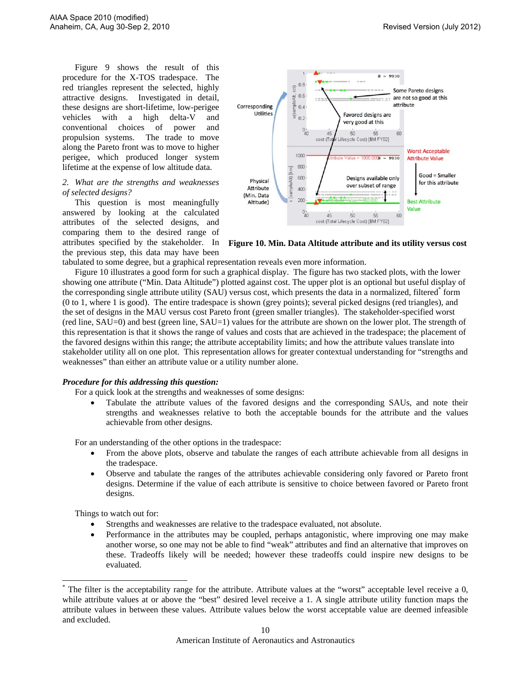vehicles with a high delta-V and conventional choices of power and propulsion systems. The trade to move along the Pareto front was to move to higher perigee, which produced longer system lifetime at the expense of low altitude data.

## *2. What are the strengths and weaknesses of selected designs?*

This question is most meaningfully answered by looking at the calculated attributes of the selected designs, and comparing them to the desired range of attributes specified by the stakeholder. In the previous step, this data may have been



**Figure 10. Min. Data Altitude attribute and its utility versus cost** 

tabulated to some degree, but a graphical representation reveals even more information.

Figure 10 illustrates a good form for such a graphical display. The figure has two stacked plots, with the lower showing one attribute ("Min. Data Altitude") plotted against cost. The upper plot is an optional but useful display of the corresponding single attribute utility (SAU) versus cost, which presents the data in a normalized, filtered<sup>\*</sup> form (0 to 1, where 1 is good). The entire tradespace is shown (grey points); several picked designs (red triangles), and the set of designs in the MAU versus cost Pareto front (green smaller triangles). The stakeholder-specified worst (red line, SAU=0) and best (green line, SAU=1) values for the attribute are shown on the lower plot. The strength of this representation is that it shows the range of values and costs that are achieved in the tradespace; the placement of the favored designs within this range; the attribute acceptability limits; and how the attribute values translate into stakeholder utility all on one plot. This representation allows for greater contextual understanding for "strengths and weaknesses" than either an attribute value or a utility number alone.

# *Procedure for this addressing this question:*

For a quick look at the strengths and weaknesses of some designs:

 Tabulate the attribute values of the favored designs and the corresponding SAUs, and note their strengths and weaknesses relative to both the acceptable bounds for the attribute and the values achievable from other designs.

For an understanding of the other options in the tradespace:

- From the above plots, observe and tabulate the ranges of each attribute achievable from all designs in the tradespace.
- Observe and tabulate the ranges of the attributes achievable considering only favored or Pareto front designs. Determine if the value of each attribute is sensitive to choice between favored or Pareto front designs.

Things to watch out for:

 $\overline{a}$ 

- Strengths and weaknesses are relative to the tradespace evaluated, not absolute.
- Performance in the attributes may be coupled, perhaps antagonistic, where improving one may make another worse, so one may not be able to find "weak" attributes and find an alternative that improves on these. Tradeoffs likely will be needed; however these tradeoffs could inspire new designs to be evaluated.

<sup>\*</sup> The filter is the acceptability range for the attribute. Attribute values at the "worst" acceptable level receive a 0, while attribute values at or above the "best" desired level receive a 1. A single attribute utility function maps the attribute values in between these values. Attribute values below the worst acceptable value are deemed infeasible and excluded.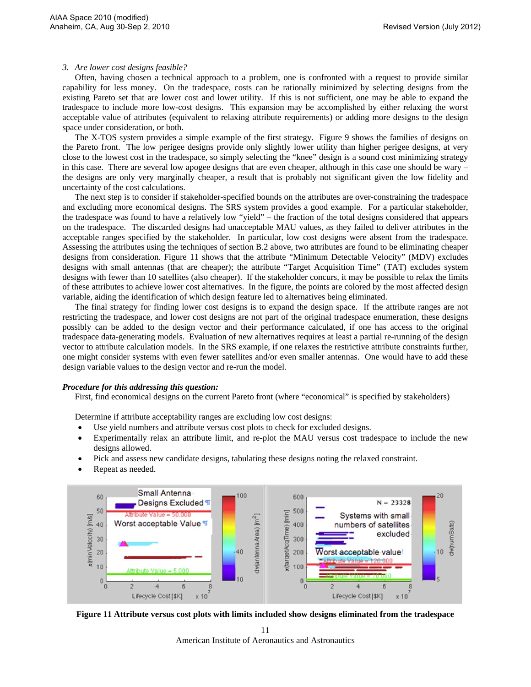### *3. Are lower cost designs feasible?*

Often, having chosen a technical approach to a problem, one is confronted with a request to provide similar capability for less money. On the tradespace, costs can be rationally minimized by selecting designs from the existing Pareto set that are lower cost and lower utility. If this is not sufficient, one may be able to expand the tradespace to include more low-cost designs. This expansion may be accomplished by either relaxing the worst acceptable value of attributes (equivalent to relaxing attribute requirements) or adding more designs to the design space under consideration, or both.

The X-TOS system provides a simple example of the first strategy. Figure 9 shows the families of designs on the Pareto front. The low perigee designs provide only slightly lower utility than higher perigee designs, at very close to the lowest cost in the tradespace, so simply selecting the "knee" design is a sound cost minimizing strategy in this case. There are several low apogee designs that are even cheaper, although in this case one should be wary – the designs are only very marginally cheaper, a result that is probably not significant given the low fidelity and uncertainty of the cost calculations.

The next step is to consider if stakeholder-specified bounds on the attributes are over-constraining the tradespace and excluding more economical designs. The SRS system provides a good example. For a particular stakeholder, the tradespace was found to have a relatively low "yield" – the fraction of the total designs considered that appears on the tradespace. The discarded designs had unacceptable MAU values, as they failed to deliver attributes in the acceptable ranges specified by the stakeholder. In particular, low cost designs were absent from the tradespace. Assessing the attributes using the techniques of section B.2 above, two attributes are found to be eliminating cheaper designs from consideration. Figure 11 shows that the attribute "Minimum Detectable Velocity" (MDV) excludes designs with small antennas (that are cheaper); the attribute "Target Acquisition Time" (TAT) excludes system designs with fewer than 10 satellites (also cheaper). If the stakeholder concurs, it may be possible to relax the limits of these attributes to achieve lower cost alternatives. In the figure, the points are colored by the most affected design variable, aiding the identification of which design feature led to alternatives being eliminated.

The final strategy for finding lower cost designs is to expand the design space. If the attribute ranges are not restricting the tradespace, and lower cost designs are not part of the original tradespace enumeration, these designs possibly can be added to the design vector and their performance calculated, if one has access to the original tradespace data-generating models. Evaluation of new alternatives requires at least a partial re-running of the design vector to attribute calculation models. In the SRS example, if one relaxes the restrictive attribute constraints further, one might consider systems with even fewer satellites and/or even smaller antennas. One would have to add these design variable values to the design vector and re-run the model.

#### *Procedure for this addressing this question:*

First, find economical designs on the current Pareto front (where "economical" is specified by stakeholders)

Determine if attribute acceptability ranges are excluding low cost designs:

- Use yield numbers and attribute versus cost plots to check for excluded designs.
- Experimentally relax an attribute limit, and re-plot the MAU versus cost tradespace to include the new designs allowed.
- Pick and assess new candidate designs, tabulating these designs noting the relaxed constraint.
- Repeat as needed.



**Figure 11 Attribute versus cost plots with limits included show designs eliminated from the tradespace**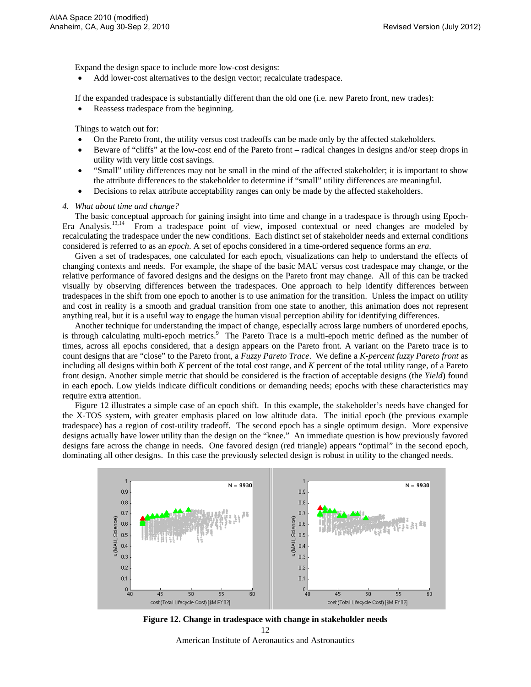Expand the design space to include more low-cost designs:

Add lower-cost alternatives to the design vector; recalculate tradespace.

If the expanded tradespace is substantially different than the old one (i.e. new Pareto front, new trades):

Reassess tradespace from the beginning.

Things to watch out for:

- On the Pareto front, the utility versus cost tradeoffs can be made only by the affected stakeholders.
- Beware of "cliffs" at the low-cost end of the Pareto front radical changes in designs and/or steep drops in utility with very little cost savings.
- "Small" utility differences may not be small in the mind of the affected stakeholder; it is important to show the attribute differences to the stakeholder to determine if "small" utility differences are meaningful.
- Decisions to relax attribute acceptability ranges can only be made by the affected stakeholders.

#### *4. What about time and change?*

The basic conceptual approach for gaining insight into time and change in a tradespace is through using Epoch-<br>Era Analysis.<sup>13,14</sup> From a tradespace point of view, imposed contextual or need changes are modeled by From a tradespace point of view, imposed contextual or need changes are modeled by recalculating the tradespace under the new conditions. Each distinct set of stakeholder needs and external conditions considered is referred to as an *epoch*. A set of epochs considered in a time-ordered sequence forms an *era*.

Given a set of tradespaces, one calculated for each epoch, visualizations can help to understand the effects of changing contexts and needs. For example, the shape of the basic MAU versus cost tradespace may change, or the relative performance of favored designs and the designs on the Pareto front may change. All of this can be tracked visually by observing differences between the tradespaces. One approach to help identify differences between tradespaces in the shift from one epoch to another is to use animation for the transition. Unless the impact on utility and cost in reality is a smooth and gradual transition from one state to another, this animation does not represent anything real, but it is a useful way to engage the human visual perception ability for identifying differences.

Another technique for understanding the impact of change, especially across large numbers of unordered epochs, is through calculating multi-epoch metrics.<sup>9</sup> The Pareto Trace is a multi-epoch metric defined as the number of times, across all epochs considered, that a design appears on the Pareto front. A variant on the Pareto trace is to count designs that are "close" to the Pareto front, a *Fuzzy Pareto Trace*. We define a *K-percent fuzzy Pareto front* as including all designs within both *K* percent of the total cost range, and *K* percent of the total utility range, of a Pareto front design. Another simple metric that should be considered is the fraction of acceptable designs (the *Yield*) found in each epoch. Low yields indicate difficult conditions or demanding needs; epochs with these characteristics may require extra attention.

Figure 12 illustrates a simple case of an epoch shift. In this example, the stakeholder's needs have changed for the X-TOS system, with greater emphasis placed on low altitude data. The initial epoch (the previous example tradespace) has a region of cost-utility tradeoff. The second epoch has a single optimum design. More expensive designs actually have lower utility than the design on the "knee." An immediate question is how previously favored designs fare across the change in needs. One favored design (red triangle) appears "optimal" in the second epoch, dominating all other designs. In this case the previously selected design is robust in utility to the changed needs.



**Figure 12. Change in tradespace with change in stakeholder needs** 

American Institute of Aeronautics and Astronautics 12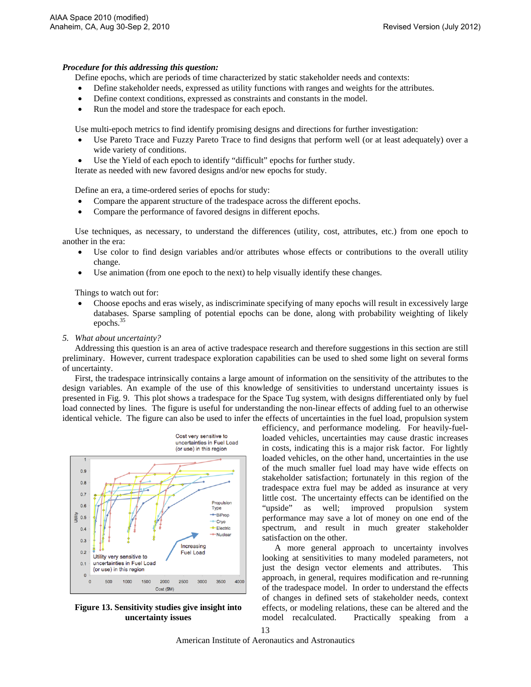#### *Procedure for this addressing this question:*

Define epochs, which are periods of time characterized by static stakeholder needs and contexts:

- Define stakeholder needs, expressed as utility functions with ranges and weights for the attributes.
- Define context conditions, expressed as constraints and constants in the model.
- Run the model and store the tradespace for each epoch.

Use multi-epoch metrics to find identify promising designs and directions for further investigation:

- Use Pareto Trace and Fuzzy Pareto Trace to find designs that perform well (or at least adequately) over a wide variety of conditions.
- Use the Yield of each epoch to identify "difficult" epochs for further study.

Iterate as needed with new favored designs and/or new epochs for study.

Define an era, a time-ordered series of epochs for study:

- Compare the apparent structure of the tradespace across the different epochs.
- Compare the performance of favored designs in different epochs.

Use techniques, as necessary, to understand the differences (utility, cost, attributes, etc.) from one epoch to another in the era:

- Use color to find design variables and/or attributes whose effects or contributions to the overall utility change.
- Use animation (from one epoch to the next) to help visually identify these changes.

Things to watch out for:

 Choose epochs and eras wisely, as indiscriminate specifying of many epochs will result in excessively large databases. Sparse sampling of potential epochs can be done, along with probability weighting of likely epochs.<sup>35</sup>

*5. What about uncertainty?* 

Addressing this question is an area of active tradespace research and therefore suggestions in this section are still preliminary. However, current tradespace exploration capabilities can be used to shed some light on several forms of uncertainty.

First, the tradespace intrinsically contains a large amount of information on the sensitivity of the attributes to the design variables. An example of the use of this knowledge of sensitivities to understand uncertainty issues is presented in Fig. 9. This plot shows a tradespace for the Space Tug system, with designs differentiated only by fuel load connected by lines. The figure is useful for understanding the non-linear effects of adding fuel to an otherwise identical vehicle. The figure can also be used to infer the effects of uncertainties in the fuel load, propulsion system



**Figure 13. Sensitivity studies give insight into uncertainty issues** 

efficiency, and performance modeling. For heavily-fuelloaded vehicles, uncertainties may cause drastic increases in costs, indicating this is a major risk factor. For lightly loaded vehicles, on the other hand, uncertainties in the use of the much smaller fuel load may have wide effects on stakeholder satisfaction; fortunately in this region of the tradespace extra fuel may be added as insurance at very little cost. The uncertainty effects can be identified on the "upside" as well; improved propulsion system performance may save a lot of money on one end of the spectrum, and result in much greater stakeholder satisfaction on the other.

13 A more general approach to uncertainty involves looking at sensitivities to many modeled parameters, not just the design vector elements and attributes. This approach, in general, requires modification and re-running of the tradespace model. In order to understand the effects of changes in defined sets of stakeholder needs, context effects, or modeling relations, these can be altered and the model recalculated. Practically speaking from a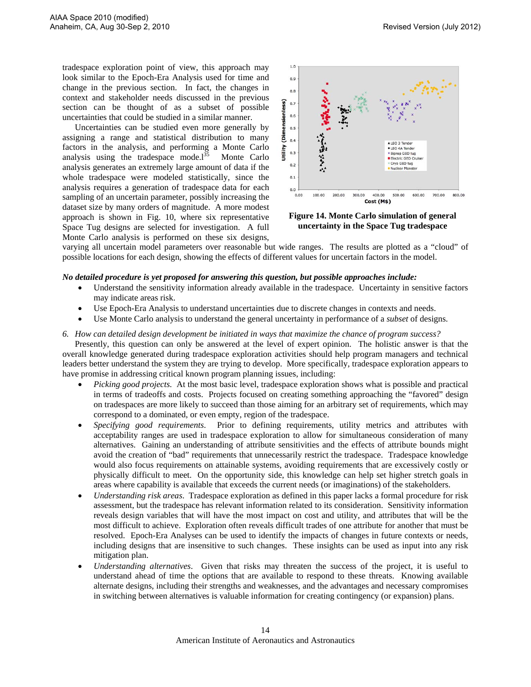tradespace exploration point of view, this approach may look similar to the Epoch-Era Analysis used for time and change in the previous section. In fact, the changes in context and stakeholder needs discussed in the previous section can be thought of as a subset of possible uncertainties that could be studied in a similar manner.

Uncertainties can be studied even more generally by assigning a range and statistical distribution to many factors in the analysis, and performing a Monte Carlo analysis using the tradespace mode. $l^{35}$  Monte Carlo analysis generates an extremely large amount of data if the whole tradespace were modeled statistically, since the analysis requires a generation of tradespace data for each sampling of an uncertain parameter, possibly increasing the dataset size by many orders of magnitude. A more modest approach is shown in Fig. 10, where six representative Space Tug designs are selected for investigation. A full Monte Carlo analysis is performed on these six designs,



**Figure 14. Monte Carlo simulation of general uncertainty in the Space Tug tradespace** 

varying all uncertain model parameters over reasonable but wide ranges. The results are plotted as a "cloud" of possible locations for each design, showing the effects of different values for uncertain factors in the model.

#### *No detailed procedure is yet proposed for answering this question, but possible approaches include:*

- Understand the sensitivity information already available in the tradespace. Uncertainty in sensitive factors may indicate areas risk.
- Use Epoch-Era Analysis to understand uncertainties due to discrete changes in contexts and needs.
- Use Monte Carlo analysis to understand the general uncertainty in performance of a *subset* of designs.

### *6. How can detailed design development be initiated in ways that maximize the chance of program success?*

Presently, this question can only be answered at the level of expert opinion. The holistic answer is that the overall knowledge generated during tradespace exploration activities should help program managers and technical leaders better understand the system they are trying to develop. More specifically, tradespace exploration appears to have promise in addressing critical known program planning issues, including:

- *Picking good projects.* At the most basic level, tradespace exploration shows what is possible and practical in terms of tradeoffs and costs. Projects focused on creating something approaching the "favored" design on tradespaces are more likely to succeed than those aiming for an arbitrary set of requirements, which may correspond to a dominated, or even empty, region of the tradespace.
- *Specifying good requirements*. Prior to defining requirements, utility metrics and attributes with acceptability ranges are used in tradespace exploration to allow for simultaneous consideration of many alternatives. Gaining an understanding of attribute sensitivities and the effects of attribute bounds might avoid the creation of "bad" requirements that unnecessarily restrict the tradespace. Tradespace knowledge would also focus requirements on attainable systems, avoiding requirements that are excessively costly or physically difficult to meet. On the opportunity side, this knowledge can help set higher stretch goals in areas where capability is available that exceeds the current needs (or imaginations) of the stakeholders.
- *Understanding risk areas*. Tradespace exploration as defined in this paper lacks a formal procedure for risk assessment, but the tradespace has relevant information related to its consideration. Sensitivity information reveals design variables that will have the most impact on cost and utility, and attributes that will be the most difficult to achieve. Exploration often reveals difficult trades of one attribute for another that must be resolved. Epoch-Era Analyses can be used to identify the impacts of changes in future contexts or needs, including designs that are insensitive to such changes. These insights can be used as input into any risk mitigation plan.
- *Understanding alternatives*. Given that risks may threaten the success of the project, it is useful to understand ahead of time the options that are available to respond to these threats. Knowing available alternate designs, including their strengths and weaknesses, and the advantages and necessary compromises in switching between alternatives is valuable information for creating contingency (or expansion) plans.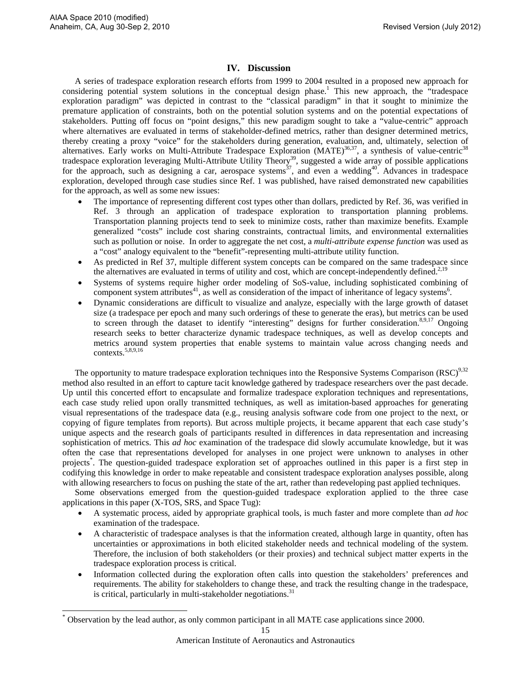-

# **IV. Discussion**

A series of tradespace exploration research efforts from 1999 to 2004 resulted in a proposed new approach for considering potential system solutions in the conceptual design phase.<sup>1</sup> This new approach, the "tradespace exploration paradigm" was depicted in contrast to the "classical paradigm" in that it sought to minimize the premature application of constraints, both on the potential solution systems and on the potential expectations of stakeholders. Putting off focus on "point designs," this new paradigm sought to take a "value-centric" approach where alternatives are evaluated in terms of stakeholder-defined metrics, rather than designer determined metrics, thereby creating a proxy "voice" for the stakeholders during generation, evaluation, and, ultimately, selection of alternatives. Early works on Multi-Attribute Tradespace Exploration (MATE)<sup>36,37</sup>, a synthesis of value-centric<sup>38</sup> tradespace exploration leveraging Multi-Attribute Utility Theory<sup>39</sup>, suggested a wide array of possible applications for the approach, such as designing a car, aerospace systems<sup>37</sup>, and even a wedding<sup>40</sup>. Advances in tradespace exploration, developed through case studies since Ref. 1 was published, have raised demonstrated new capabilities for the approach, as well as some new issues:

- The importance of representing different cost types other than dollars, predicted by Ref. 36, was verified in Ref. 3 through an application of tradespace exploration to transportation planning problems. Transportation planning projects tend to seek to minimize costs, rather than maximize benefits. Example generalized "costs" include cost sharing constraints, contractual limits, and environmental externalities such as pollution or noise. In order to aggregate the net cost, a *multi-attribute expense function* was used as a "cost" analogy equivalent to the "benefit"-representing multi-attribute utility function.
- As predicted in Ref 37, multiple different system concepts can be compared on the same tradespace since the alternatives are evaluated in terms of utility and cost, which are concept-independently defined.<sup>2,19</sup>
- Systems of systems require higher order modeling of SoS-value, including sophisticated combining of component system attributes $4$ , as well as consideration of the impact of inheritance of legacy systems $6$ .
- Dynamic considerations are difficult to visualize and analyze, especially with the large growth of dataset size (a tradespace per epoch and many such orderings of these to generate the eras), but metrics can be used to screen through the dataset to identify "interesting" designs for further consideration.<sup>8,9,17</sup> Ongoing research seeks to better characterize dynamic tradespace techniques, as well as develop concepts and metrics around system properties that enable systems to maintain value across changing needs and contexts. $5,8,9,16$

The opportunity to mature tradespace exploration techniques into the Responsive Systems Comparison  $(RSC)^{9,32}$ method also resulted in an effort to capture tacit knowledge gathered by tradespace researchers over the past decade. Up until this concerted effort to encapsulate and formalize tradespace exploration techniques and representations, each case study relied upon orally transmitted techniques, as well as imitation-based approaches for generating visual representations of the tradespace data (e.g., reusing analysis software code from one project to the next, or copying of figure templates from reports). But across multiple projects, it became apparent that each case study's unique aspects and the research goals of participants resulted in differences in data representation and increasing sophistication of metrics. This *ad hoc* examination of the tradespace did slowly accumulate knowledge, but it was often the case that representations developed for analyses in one project were unknown to analyses in other projects<sup>\*</sup>. The question-guided tradespace exploration set of approaches outlined in this paper is a first step in codifying this knowledge in order to make repeatable and consistent tradespace exploration analyses possible, along with allowing researchers to focus on pushing the state of the art, rather than redeveloping past applied techniques.

Some observations emerged from the question-guided tradespace exploration applied to the three case applications in this paper (X-TOS, SRS, and Space Tug):

- A systematic process, aided by appropriate graphical tools, is much faster and more complete than *ad hoc* examination of the tradespace.
- A characteristic of tradespace analyses is that the information created, although large in quantity, often has uncertainties or approximations in both elicited stakeholder needs and technical modeling of the system. Therefore, the inclusion of both stakeholders (or their proxies) and technical subject matter experts in the tradespace exploration process is critical.
- Information collected during the exploration often calls into question the stakeholders' preferences and requirements. The ability for stakeholders to change these, and track the resulting change in the tradespace, is critical, particularly in multi-stakeholder negotiations. $31$

<sup>\*</sup> Observation by the lead author, as only common participant in all MATE case applications since 2000.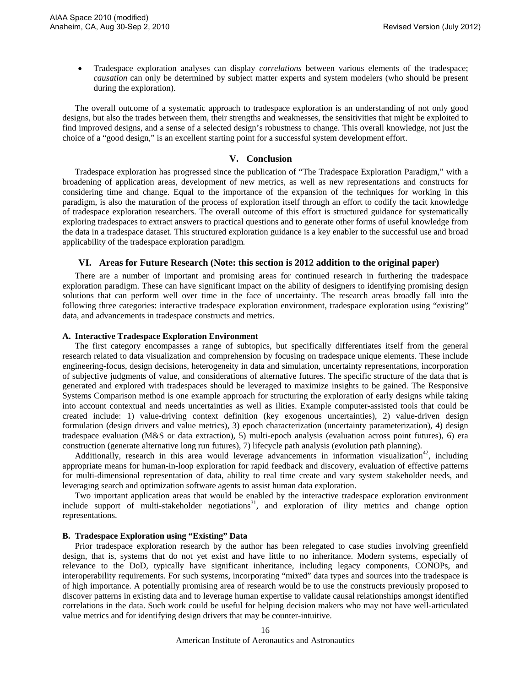Tradespace exploration analyses can display *correlations* between various elements of the tradespace; *causation* can only be determined by subject matter experts and system modelers (who should be present during the exploration).

The overall outcome of a systematic approach to tradespace exploration is an understanding of not only good designs, but also the trades between them, their strengths and weaknesses, the sensitivities that might be exploited to find improved designs, and a sense of a selected design's robustness to change. This overall knowledge, not just the choice of a "good design," is an excellent starting point for a successful system development effort.

## **V. Conclusion**

Tradespace exploration has progressed since the publication of "The Tradespace Exploration Paradigm," with a broadening of application areas, development of new metrics, as well as new representations and constructs for considering time and change. Equal to the importance of the expansion of the techniques for working in this paradigm, is also the maturation of the process of exploration itself through an effort to codify the tacit knowledge of tradespace exploration researchers. The overall outcome of this effort is structured guidance for systematically exploring tradespaces to extract answers to practical questions and to generate other forms of useful knowledge from the data in a tradespace dataset. This structured exploration guidance is a key enabler to the successful use and broad applicability of the tradespace exploration paradigm*.* 

## **VI. Areas for Future Research (Note: this section is 2012 addition to the original paper)**

There are a number of important and promising areas for continued research in furthering the tradespace exploration paradigm. These can have significant impact on the ability of designers to identifying promising design solutions that can perform well over time in the face of uncertainty. The research areas broadly fall into the following three categories: interactive tradespace exploration environment, tradespace exploration using "existing" data, and advancements in tradespace constructs and metrics.

#### **A. Interactive Tradespace Exploration Environment**

The first category encompasses a range of subtopics, but specifically differentiates itself from the general research related to data visualization and comprehension by focusing on tradespace unique elements. These include engineering-focus, design decisions, heterogeneity in data and simulation, uncertainty representations, incorporation of subjective judgments of value, and considerations of alternative futures. The specific structure of the data that is generated and explored with tradespaces should be leveraged to maximize insights to be gained. The Responsive Systems Comparison method is one example approach for structuring the exploration of early designs while taking into account contextual and needs uncertainties as well as ilities. Example computer-assisted tools that could be created include: 1) value-driving context definition (key exogenous uncertainties), 2) value-driven design formulation (design drivers and value metrics), 3) epoch characterization (uncertainty parameterization), 4) design tradespace evaluation (M&S or data extraction), 5) multi-epoch analysis (evaluation across point futures), 6) era construction (generate alternative long run futures), 7) lifecycle path analysis (evolution path planning).

Additionally, research in this area would leverage advancements in information visualization<sup>42</sup>, including appropriate means for human-in-loop exploration for rapid feedback and discovery, evaluation of effective patterns for multi-dimensional representation of data, ability to real time create and vary system stakeholder needs, and leveraging search and optimization software agents to assist human data exploration.

Two important application areas that would be enabled by the interactive tradespace exploration environment include support of multi-stakeholder negotiations<sup>31</sup>, and exploration of ility metrics and change option representations.

#### **B. Tradespace Exploration using "Existing" Data**

Prior tradespace exploration research by the author has been relegated to case studies involving greenfield design, that is, systems that do not yet exist and have little to no inheritance. Modern systems, especially of relevance to the DoD, typically have significant inheritance, including legacy components, CONOPs, and interoperability requirements. For such systems, incorporating "mixed" data types and sources into the tradespace is of high importance. A potentially promising area of research would be to use the constructs previously proposed to discover patterns in existing data and to leverage human expertise to validate causal relationships amongst identified correlations in the data. Such work could be useful for helping decision makers who may not have well-articulated value metrics and for identifying design drivers that may be counter-intuitive.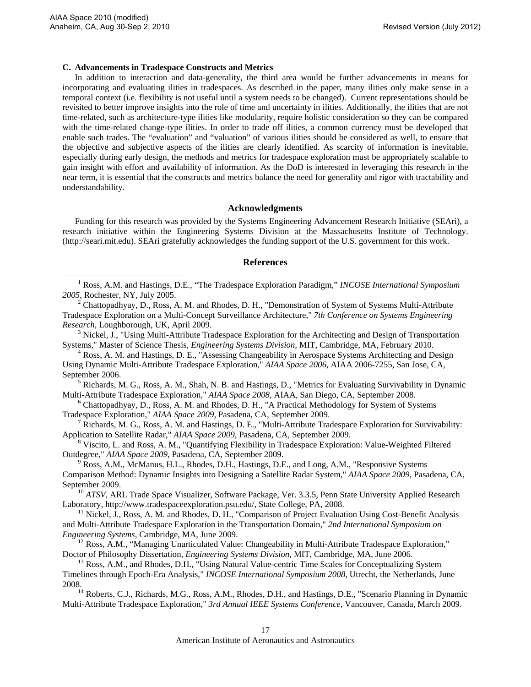## **C. Advancements in Tradespace Constructs and Metrics**

In addition to interaction and data-generality, the third area would be further advancements in means for incorporating and evaluating ilities in tradespaces. As described in the paper, many ilities only make sense in a temporal context (i.e. flexibility is not useful until a system needs to be changed). Current representations should be revisited to better improve insights into the role of time and uncertainty in ilities. Additionally, the ilities that are not time-related, such as architecture-type ilities like modularity, require holistic consideration so they can be compared with the time-related change-type ilities. In order to trade off ilities, a common currency must be developed that enable such trades. The "evaluation" and "valuation" of various ilities should be considered as well, to ensure that the objective and subjective aspects of the ilities are clearly identified. As scarcity of information is inevitable, especially during early design, the methods and metrics for tradespace exploration must be appropriately scalable to gain insight with effort and availability of information. As the DoD is interested in leveraging this research in the near term, it is essential that the constructs and metrics balance the need for generality and rigor with tractability and understandability.

#### **Acknowledgments**

Funding for this research was provided by the Systems Engineering Advancement Research Initiative (SEAri), a research initiative within the Engineering Systems Division at the Massachusetts Institute of Technology. (http://seari.mit.edu). SEAri gratefully acknowledges the funding support of the U.S. government for this work.

#### **References**

 $3$  Nickel, J., "Using Multi-Attribute Tradespace Exploration for the Architecting and Design of Transportation Systems," Master of Science Thesis, *Engineering Systems Division*, MIT, Cambridge, MA, February 2010. 4

<sup>4</sup> Ross, A. M. and Hastings, D. E., "Assessing Changeability in Aerospace Systems Architecting and Design Using Dynamic Multi-Attribute Tradespace Exploration," *AIAA Space 2006*, AIAA 2006-7255, San Jose, CA, September 2006.

<sup>5</sup> Richards, M. G., Ross, A. M., Shah, N. B. and Hastings, D., "Metrics for Evaluating Survivability in Dynamic Multi-Attribute Tradespace Exploration," *AIAA Space 2008*, AIAA, San Diego, CA, September 2008. 6

 $6$  Chattopadhyay, D., Ross, A. M. and Rhodes, D. H., "A Practical Methodology for System of Systems Tradespace Exploration," *AIAA Space 2009*, Pasadena, CA, September 2009.

 $\frac{7}{7}$  Richards, M. G., Ross, A. M. and Hastings, D. E., "Multi-Attribute Tradespace Exploration for Survivability: Application to Satellite Radar," *AIAA Space 2009*, Pasadena, CA, September 2009.

 Viscito, L. and Ross, A. M., "Quantifying Flexibility in Tradespace Exploration: Value-Weighted Filtered Outdegree," *AIAA Space 2009*, Pasadena, CA, September 2009.

 $\frac{9}{9}$  Ross, A.M., McManus, H.L., Rhodes, D.H., Hastings, D.E., and Long, A.M., "Responsive Systems Comparison Method: Dynamic Insights into Designing a Satellite Radar System," *AIAA Space 2009*, Pasadena, CA, September 2009. 10 *ATSV*, ARL Trade Space Visualizer, Software Package, Ver. 3.3.5, Penn State University Applied Research

Laboratory, http://www.tradespaceexploration.psu.edu/, State College, PA, 2008.<br><sup>11</sup> Nickel, J., Ross, A. M. and Rhodes, D. H., "Comparison of Project Evaluation Using Cost-Benefit Analysis

and Multi-Attribute Tradespace Exploration in the Transportation Domain," *2nd International Symposium on* 

<sup>13</sup> Ross, A.M., and Rhodes, D.H., "Using Natural Value-centric Time Scales for Conceptualizing System Timelines through Epoch-Era Analysis," *INCOSE International Symposium 2008*, Utrecht, the Netherlands, June

2008. 14 Roberts, C.J., Richards, M.G., Ross, A.M., Rhodes, D.H., and Hastings, D.E., "Scenario Planning in Dynamic Multi-Attribute Tradespace Exploration," *3rd Annual IEEE Systems Conference*, Vancouver, Canada, March 2009.

 $\frac{1}{1}$ <sup>1</sup> Ross, A.M. and Hastings, D.E., "The Tradespace Exploration Paradigm," *INCOSE International Symposium 2005*, Rochester, NY, July 2005.

<sup>&</sup>lt;sup>2</sup> Chattopadhyay, D., Ross, A. M. and Rhodes, D. H., "Demonstration of System of Systems Multi-Attribute Tradespace Exploration on a Multi-Concept Surveillance Architecture," *7th Conference on Systems Engineering Research*, Loughborough, UK, April 2009.

*Engineering Systems*, Cambridge, MA, June 2009.<br><sup>12</sup> Ross, A.M., "Managing Unarticulated Value: Changeability in Multi-Attribute Tradespace Exploration,"<br>Doctor of Philosophy Dissertation, *Engineering Systems Division*,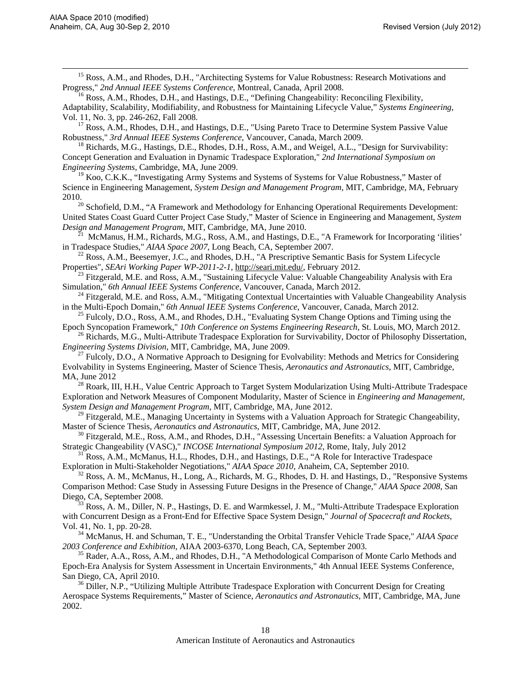<sup>15</sup> Ross, A.M., and Rhodes, D.H., "Architecting Systems for Value Robustness: Research Motivations and Progress," 2nd Annual IEEE Systems Conference, Montreal, Canada, April 2008.

<sup>16</sup> Ross, A.M., Rhodes, D.H., and Hastings, D.E., "Defining Changeability: Reconciling Flexibility, Adaptability, Scalability, Modifiability, and Robustness for Maintaining Lifecycle Value," *Systems Engineering*, Vol. 11, No. 3, pp. 246-262, Fall 2008.<br><sup>17</sup> Ross, A.M., Rhodes, D.H., and Hastings, D.E., "Using Pareto Trace to Determine System Passive Value

Robustness," *3rd Annual IEEE Systems Conference*, Vancouver, Canada, March 2009.<br><sup>18</sup> Richards, M.G., Hastings, D.E., Rhodes, D.H., Ross, A.M., and Weigel, A.L., "Design for Survivability:

Concept Generation and Evaluation in Dynamic Tradespace Exploration," *2nd International Symposium on Engineering Systems*, Cambridge, MA, June 2009.

 $19$  Koo, C.K.K., "Investigating Army Systems and Systems of Systems for Value Robustness," Master of Science in Engineering Management, *System Design and Management Program*, MIT, Cambridge, MA, February 2010. 20 Schofield, D.M., "A Framework and Methodology for Enhancing Operational Requirements Development:

United States Coast Guard Cutter Project Case Study," Master of Science in Engineering and Management, *System Design and Management Program*, MIT, Cambridge, MA, June 2010.<br><sup>21</sup> McManus, H.M., Richards, M.G., Ross, A.M., and Hastings, D.E., "A Framework for Incorporating 'ilities'

in Tradespace Studies," *AIAA Space 2007*, Long Beach, CA, September 2007.<br><sup>22</sup> Ross, A.M., Beesemyer, J.C., and Rhodes, D.H., "A Prescriptive Semantic Basis for System Lifecycle<br>Properties", *SEAri Working Paper WP-2011-2* 

<sup>23</sup> Fitzgerald, M.E. and Ross, A.M., "Sustaining Lifecycle Value: Valuable Changeability Analysis with Era Simulation," 6th Annual IEEE Systems Conference, Vancouver, Canada, March 2012.

<sup>24</sup> Fitzgerald, M.E. and Ross, A.M., "Mitigating Contextual Uncertainties with Valuable Changeability Analysis in the Multi-Epoch Domain," *6th Annual IEEE Systems Conference*, Vancouver, Canada, March 2012.

<sup>25</sup> Fulcoly, D.O., Ross, A.M., and Rhodes, D.H., "Evaluating System Change Options and Timing using the Epoch Syncopation Framework," *10th Conference on Systems Engineering Research*, St. Louis, MO, March 2012.

<sup>26</sup> Richards, M.G., Multi-Attribute Tradespace Exploration for Survivability, Doctor of Philosophy Dissertation,

*Engineering Systems Division*, MIT, Cambridge, MA, June 2009.<br><sup>27</sup> Fulcoly, D.O., A Normative Approach to Designing for Evolvability: Methods and Metrics for Considering Evolvability in Systems Engineering, Master of Science Thesis, *Aeronautics and Astronautics*, MIT, Cambridge, MA, June 2012<br><sup>28</sup> Roark, III, H.H., Value Centric Approach to Target System Modularization Using Multi-Attribute Tradespace

Exploration and Network Measures of Component Modularity, Master of Science in *Engineering and Management, System Design and Management Program*, MIT, Cambridge, MA, June 2012.

<sup>29</sup> Fitzgerald, M.E., Managing Uncertainty in Systems with a Valuation Approach for Strategic Changeability,

Master of Science Thesis, *Aeronautics and Astronautics*, MIT, Cambridge, MA, June 2012.<br><sup>30</sup> Fitzgerald, M.E., Ross, A.M., and Rhodes, D.H., "Assessing Uncertain Benefits: a Valuation Approach for Strategic Changeability

<sup>31</sup> Ross, A.M., McManus, H.L., Rhodes, D.H., and Hastings, D.E., "A Role for Interactive Tradespace Exploration in Multi-Stakeholder Negotiations," *AIAA Space 2010*, Anaheim, CA, September 2010.<br><sup>32</sup> Ross, A. M., McManus, H., Long, A., Richards, M. G., Rhodes, D. H. and Hastings, D., "Responsive Systems

Comparison Method: Case Study in Assessing Future Designs in the Presence of Change," *AIAA Space 2008*, San Diego, CA, September 2008.<br><sup>33</sup> Ross, A. M., Diller, N. P., Hastings, D. E. and Warmkessel, J. M., "Multi-Attribute Tradespace Exploration

with Concurrent Design as a Front-End for Effective Space System Design," *Journal of Spacecraft and Rockets*, Vol. 41, No. 1, pp. 20-28. 34 McManus, H. and Schuman, T. E., "Understanding the Orbital Transfer Vehicle Trade Space," *AIAA Space* 

*2003 Conference and Exhibition*, AIAA 2003-6370, Long Beach, CA, September 2003. 35 Rader, A.A., Ross, A.M., and Rhodes, D.H., "A Methodological Comparison of Monte Carlo Methods and

Epoch-Era Analysis for System Assessment in Uncertain Environments," 4th Annual IEEE Systems Conference, San Diego, CA, April 2010.<br><sup>36</sup> Diller, N.P., "Utilizing Multiple Attribute Tradespace Exploration with Concurrent Design for Creating

Aerospace Systems Requirements," Master of Science, *Aeronautics and Astronautics*, MIT, Cambridge, MA, June 2002.